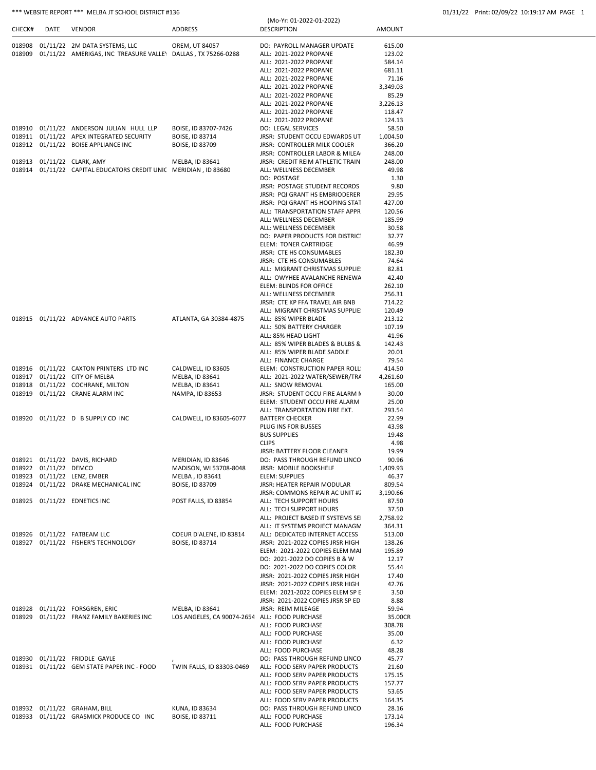## \*\*\* WEBSITE REPORT \*\*\* MELBA JT SCHOOL DISTRICT #136 01/31/22 Print: 02/09/22 10:19:17 AM PAGE 1

| CHECK# | DATE                  | <b>VENDOR</b>                                                               | ADDRESS                                                          | <b>DESCRIPTION</b>                                                | AMOUNT           |
|--------|-----------------------|-----------------------------------------------------------------------------|------------------------------------------------------------------|-------------------------------------------------------------------|------------------|
|        |                       | 018908 01/11/22 2M DATA SYSTEMS, LLC                                        | OREM, UT 84057                                                   | DO: PAYROLL MANAGER UPDATE                                        | 615.00           |
| 018909 |                       | 01/11/22 AMERIGAS, INC TREASURE VALLEY DALLAS, TX 75266-0288                |                                                                  | ALL: 2021-2022 PROPANE                                            | 123.02           |
|        |                       |                                                                             |                                                                  | ALL: 2021-2022 PROPANE                                            | 584.14           |
|        |                       |                                                                             |                                                                  | ALL: 2021-2022 PROPANE                                            | 681.11           |
|        |                       |                                                                             |                                                                  | ALL: 2021-2022 PROPANE                                            | 71.16            |
|        |                       |                                                                             |                                                                  | ALL: 2021-2022 PROPANE                                            | 3,349.03         |
|        |                       |                                                                             |                                                                  | ALL: 2021-2022 PROPANE                                            | 85.29            |
|        |                       |                                                                             |                                                                  | ALL: 2021-2022 PROPANE                                            | 3,226.13         |
|        |                       |                                                                             |                                                                  | ALL: 2021-2022 PROPANE                                            | 118.47           |
|        |                       | 018910 01/11/22 ANDERSON JULIAN HULL LLP                                    | BOISE, ID 83707-7426                                             | ALL: 2021-2022 PROPANE<br>DO: LEGAL SERVICES                      | 124.13<br>58.50  |
|        |                       | 018911 01/11/22 APEX INTEGRATED SECURITY                                    | <b>BOISE, ID 83714</b>                                           | JRSR: STUDENT OCCU EDWARDS UT                                     | 1,004.50         |
|        |                       | 018912 01/11/22 BOISE APPLIANCE INC                                         | <b>BOISE, ID 83709</b>                                           | JRSR: CONTROLLER MILK COOLER                                      | 366.20           |
|        |                       |                                                                             |                                                                  | JRSR: CONTROLLER LABOR & MILEA                                    | 248.00           |
|        |                       | 018913 01/11/22 CLARK, AMY                                                  | MELBA, ID 83641                                                  | JRSR: CREDIT REIM ATHLETIC TRAIN                                  | 248.00           |
|        |                       | 018914 01/11/22 CAPITAL EDUCATORS CREDIT UNIC MERIDIAN, ID 83680            |                                                                  | ALL: WELLNESS DECEMBER                                            | 49.98            |
|        |                       |                                                                             |                                                                  | DO: POSTAGE                                                       | 1.30             |
|        |                       |                                                                             |                                                                  | JRSR: POSTAGE STUDENT RECORDS                                     | 9.80             |
|        |                       |                                                                             |                                                                  | JRSR: PQI GRANT HS EMBRIODERER                                    | 29.95            |
|        |                       |                                                                             |                                                                  | JRSR: PQI GRANT HS HOOPING STAT<br>ALL: TRANSPORTATION STAFF APPR | 427.00<br>120.56 |
|        |                       |                                                                             |                                                                  | ALL: WELLNESS DECEMBER                                            | 185.99           |
|        |                       |                                                                             |                                                                  | ALL: WELLNESS DECEMBER                                            | 30.58            |
|        |                       |                                                                             |                                                                  | <b>DO: PAPER PRODUCTS FOR DISTRICT</b>                            | 32.77            |
|        |                       |                                                                             |                                                                  | ELEM: TONER CARTRIDGE                                             | 46.99            |
|        |                       |                                                                             |                                                                  | JRSR: CTE HS CONSUMABLES                                          | 182.30           |
|        |                       |                                                                             |                                                                  | JRSR: CTE HS CONSUMABLES                                          | 74.64            |
|        |                       |                                                                             |                                                                  | ALL: MIGRANT CHRISTMAS SUPPLIE:                                   | 82.81            |
|        |                       |                                                                             |                                                                  | ALL: OWYHEE AVALANCHE RENEWA                                      | 42.40            |
|        |                       |                                                                             |                                                                  | ELEM: BLINDS FOR OFFICE                                           | 262.10           |
|        |                       |                                                                             |                                                                  | ALL: WELLNESS DECEMBER                                            | 256.31           |
|        |                       |                                                                             |                                                                  | JRSR: CTE KP FFA TRAVEL AIR BNB                                   | 714.22           |
|        |                       | 018915 01/11/22 ADVANCE AUTO PARTS                                          | ATLANTA, GA 30384-4875                                           | ALL: MIGRANT CHRISTMAS SUPPLIE:<br>ALL: 85% WIPER BLADE           | 120.49<br>213.12 |
|        |                       |                                                                             |                                                                  | ALL: 50% BATTERY CHARGER                                          | 107.19           |
|        |                       |                                                                             |                                                                  | ALL: 85% HEAD LIGHT                                               | 41.96            |
|        |                       |                                                                             |                                                                  | ALL: 85% WIPER BLADES & BULBS &                                   | 142.43           |
|        |                       |                                                                             |                                                                  | ALL: 85% WIPER BLADE SADDLE                                       | 20.01            |
|        |                       |                                                                             |                                                                  | ALL: FINANCE CHARGE                                               | 79.54            |
|        |                       | 018916 01/11/22 CAXTON PRINTERS LTD INC                                     | CALDWELL, ID 83605                                               | ELEM: CONSTRUCTION PAPER ROLL:                                    | 414.50           |
|        |                       | 018917 01/11/22 CITY OF MELBA                                               | MELBA, ID 83641                                                  | ALL: 2021-2022 WATER/SEWER/TRA                                    | 4,261.60         |
|        |                       | 018918 01/11/22 COCHRANE, MILTON                                            | MELBA, ID 83641                                                  | ALL: SNOW REMOVAL                                                 | 165.00           |
|        |                       | 018919 01/11/22 CRANE ALARM INC                                             | NAMPA, ID 83653                                                  | JRSR: STUDENT OCCU FIRE ALARM N                                   | 30.00            |
|        |                       |                                                                             |                                                                  | ELEM: STUDENT OCCU FIRE ALARM<br>ALL: TRANSPORTATION FIRE EXT.    | 25.00<br>293.54  |
|        |                       | 018920 01/11/22 D B SUPPLY CO INC                                           | CALDWELL, ID 83605-6077                                          | <b>BATTERY CHECKER</b>                                            | 22.99            |
|        |                       |                                                                             |                                                                  | PLUG INS FOR BUSSES                                               | 43.98            |
|        |                       |                                                                             |                                                                  | <b>BUS SUPPLIES</b>                                               | 19.48            |
|        |                       |                                                                             |                                                                  | <b>CLIPS</b>                                                      | 4.98             |
|        |                       |                                                                             |                                                                  | <b>JRSR: BATTERY FLOOR CLEANER</b>                                | 19.99            |
|        |                       | 018921 01/11/22 DAVIS, RICHARD                                              | MERIDIAN, ID 83646                                               | DO: PASS THROUGH REFUND LINCO                                     | 90.96            |
|        | 018922 01/11/22 DEMCO |                                                                             | MADISON, WI 53708-8048                                           | JRSR: MOBILE BOOKSHELF                                            | 1,409.93         |
|        |                       | 018923 01/11/22 LENZ, EMBER                                                 | MELBA, ID 83641                                                  | ELEM: SUPPLIES                                                    | 46.37            |
|        |                       | 018924 01/11/22 DRAKE MECHANICAL INC                                        | BOISE, ID 83709                                                  | JRSR: HEATER REPAIR MODULAR                                       | 809.54           |
|        |                       |                                                                             |                                                                  | JRSR: COMMONS REPAIR AC UNIT #2                                   | 3,190.66         |
|        |                       | 018925 01/11/22 EDNETICS INC                                                | POST FALLS, ID 83854                                             | ALL: TECH SUPPORT HOURS<br>ALL: TECH SUPPORT HOURS                | 87.50<br>37.50   |
|        |                       |                                                                             |                                                                  | ALL: PROJECT BASED IT SYSTEMS SEI                                 | 2,758.92         |
|        |                       |                                                                             |                                                                  | ALL: IT SYSTEMS PROJECT MANAGM                                    | 364.31           |
|        |                       | 018926 01/11/22 FATBEAM LLC                                                 | COEUR D'ALENE, ID 83814                                          | ALL: DEDICATED INTERNET ACCESS                                    | 513.00           |
|        |                       | 018927 01/11/22 FISHER'S TECHNOLOGY                                         | BOISE, ID 83714                                                  | JRSR: 2021-2022 COPIES JRSR HIGH                                  | 138.26           |
|        |                       |                                                                             |                                                                  | ELEM: 2021-2022 COPIES ELEM MAI                                   | 195.89           |
|        |                       |                                                                             |                                                                  | DO: 2021-2022 DO COPIES B & W                                     | 12.17            |
|        |                       |                                                                             |                                                                  | DO: 2021-2022 DO COPIES COLOR                                     | 55.44            |
|        |                       |                                                                             |                                                                  | JRSR: 2021-2022 COPIES JRSR HIGH                                  | 17.40            |
|        |                       |                                                                             |                                                                  | JRSR: 2021-2022 COPIES JRSR HIGH                                  | 42.76            |
|        |                       |                                                                             |                                                                  | ELEM: 2021-2022 COPIES ELEM SP E                                  | 3.50             |
|        |                       |                                                                             |                                                                  | JRSR: 2021-2022 COPIES JRSR SP ED                                 | 8.88             |
|        |                       | 018928 01/11/22 FORSGREN, ERIC<br>018929 01/11/22 FRANZ FAMILY BAKERIES INC | MELBA, ID 83641<br>LOS ANGELES, CA 90074-2654 ALL: FOOD PURCHASE | JRSR: REIM MILEAGE                                                | 59.94<br>35.00CR |
|        |                       |                                                                             |                                                                  | ALL: FOOD PURCHASE                                                | 308.78           |
|        |                       |                                                                             |                                                                  | ALL: FOOD PURCHASE                                                | 35.00            |
|        |                       |                                                                             |                                                                  | ALL: FOOD PURCHASE                                                | 6.32             |
|        |                       |                                                                             |                                                                  | ALL: FOOD PURCHASE                                                | 48.28            |
|        |                       | 018930 01/11/22 FRIDDLE GAYLE                                               |                                                                  | DO: PASS THROUGH REFUND LINCO                                     | 45.77            |
|        |                       | 018931 01/11/22 GEM STATE PAPER INC - FOOD                                  | TWIN FALLS, ID 83303-0469                                        | ALL: FOOD SERV PAPER PRODUCTS                                     | 21.60            |
|        |                       |                                                                             |                                                                  | ALL: FOOD SERV PAPER PRODUCTS                                     | 175.15           |
|        |                       |                                                                             |                                                                  | ALL: FOOD SERV PAPER PRODUCTS                                     | 157.77           |
|        |                       |                                                                             |                                                                  | ALL: FOOD SERV PAPER PRODUCTS                                     | 53.65            |
|        |                       |                                                                             |                                                                  | ALL: FOOD SERV PAPER PRODUCTS                                     | 164.35           |
|        |                       | 018932 01/11/22 GRAHAM, BILL                                                | <b>KUNA, ID 83634</b>                                            | DO: PASS THROUGH REFUND LINCO                                     | 28.16            |
|        |                       | 018933 01/11/22 GRASMICK PRODUCE CO INC                                     | BOISE, ID 83711                                                  | ALL: FOOD PURCHASE                                                | 173.14           |
|        |                       |                                                                             |                                                                  | ALL: FOOD PURCHASE                                                | 196.34           |

(Mo-Yr: 01-2022-01-2022)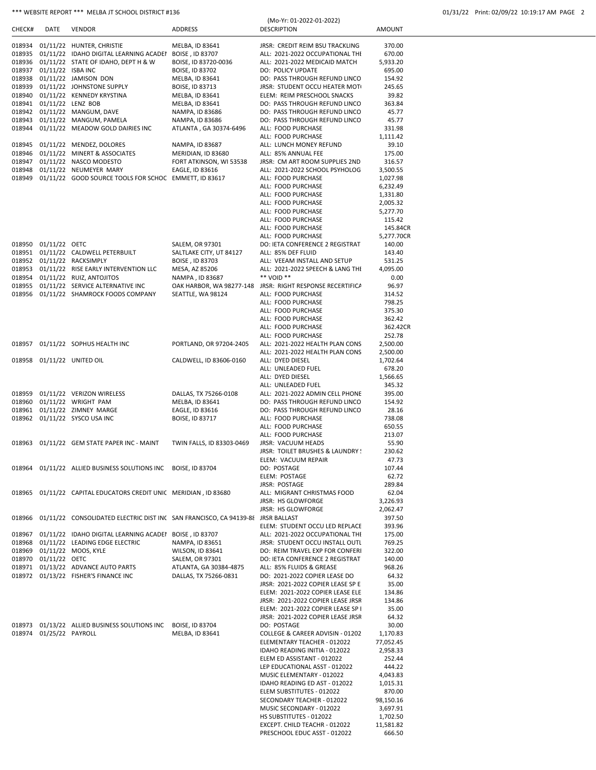### \*\*\* WEBSITE REPORT \*\*\* MELBA JT SCHOOL DISTRICT #136

|  | 01/31/22 Print: 02/09/22 10:19:17 AM PAGE 2 |  |  |  |
|--|---------------------------------------------|--|--|--|
|--|---------------------------------------------|--|--|--|

| CHECK#           | DATE                 | <b>VENDOR</b>                                                                          | ADDRESS                                    | (Mo-Yr: 01-2022-01-2022)<br><b>DESCRIPTION</b>                         | <b>AMOUNT</b>        |
|------------------|----------------------|----------------------------------------------------------------------------------------|--------------------------------------------|------------------------------------------------------------------------|----------------------|
|                  |                      |                                                                                        |                                            |                                                                        |                      |
| 018934<br>018935 |                      | 01/11/22 HUNTER, CHRISTIE<br>01/11/22 IDAHO DIGITAL LEARNING ACADEI                    | MELBA, ID 83641                            | JRSR: CREDIT REIM BSU TRACKLING                                        | 370.00               |
| 018936           |                      | 01/11/22 STATE OF IDAHO, DEPT H & W                                                    | BOISE, ID 83707<br>BOISE, ID 83720-0036    | ALL: 2021-2022 OCCUPATIONAL THI<br>ALL: 2021-2022 MEDICAID MATCH       | 670.00<br>5,933.20   |
| 018937           | 01/11/22 ISBA INC    |                                                                                        | <b>BOISE, ID 83702</b>                     | DO: POLICY UPDATE                                                      | 695.00               |
| 018938           |                      | 01/11/22 JAMISON DON                                                                   | MELBA, ID 83641                            | DO: PASS THROUGH REFUND LINCO                                          | 154.92               |
| 018939           |                      | 01/11/22 JOHNSTONE SUPPLY                                                              | <b>BOISE, ID 83713</b>                     | JRSR: STUDENT OCCU HEATER MOT                                          | 245.65               |
| 018940           |                      | 01/11/22 KENNEDY KRYSTINA                                                              | MELBA, ID 83641                            | ELEM: REIM PRESCHOOL SNACKS                                            | 39.82                |
| 018941           |                      | 01/11/22 LENZ BOB                                                                      | MELBA, ID 83641                            | DO: PASS THROUGH REFUND LINCO                                          | 363.84               |
| 018942           |                      | 01/11/22 MANGUM, DAVE                                                                  | NAMPA, ID 83686                            | DO: PASS THROUGH REFUND LINCO                                          | 45.77                |
| 018943           |                      | 01/11/22 MANGUM, PAMELA                                                                | NAMPA, ID 83686                            | DO: PASS THROUGH REFUND LINCO                                          | 45.77                |
| 018944           |                      | 01/11/22 MEADOW GOLD DAIRIES INC                                                       | ATLANTA, GA 30374-6496                     | ALL: FOOD PURCHASE                                                     | 331.98               |
|                  |                      |                                                                                        |                                            | ALL: FOOD PURCHASE                                                     | 1,111.42             |
| 018945           |                      | 01/11/22 MENDEZ, DOLORES                                                               | NAMPA, ID 83687                            | ALL: LUNCH MONEY REFUND                                                | 39.10                |
| 018946           |                      | 01/11/22 MINERT & ASSOCIATES                                                           | MERIDIAN, ID 83680                         | ALL: 85% ANNUAL FEE                                                    | 175.00               |
| 018947<br>018948 |                      | 01/11/22 NASCO MODESTO<br>01/11/22 NEUMEYER MARY                                       | FORT ATKINSON, WI 53538<br>EAGLE, ID 83616 | JRSR: CM ART ROOM SUPPLIES 2ND<br>ALL: 2021-2022 SCHOOL PSYHOLOG       | 316.57<br>3,500.55   |
| 018949           |                      | 01/11/22 GOOD SOURCE TOOLS FOR SCHOC EMMETT, ID 83617                                  |                                            | ALL: FOOD PURCHASE                                                     | 1,027.98             |
|                  |                      |                                                                                        |                                            | ALL: FOOD PURCHASE                                                     | 6,232.49             |
|                  |                      |                                                                                        |                                            | ALL: FOOD PURCHASE                                                     | 1,331.80             |
|                  |                      |                                                                                        |                                            | ALL: FOOD PURCHASE                                                     | 2,005.32             |
|                  |                      |                                                                                        |                                            | ALL: FOOD PURCHASE                                                     | 5,277.70             |
|                  |                      |                                                                                        |                                            | ALL: FOOD PURCHASE                                                     | 115.42               |
|                  |                      |                                                                                        |                                            | ALL: FOOD PURCHASE                                                     | 145.84CR             |
|                  |                      |                                                                                        |                                            | ALL: FOOD PURCHASE                                                     | 5,277.70CR           |
| 018950<br>018951 | 01/11/22 OETC        |                                                                                        | SALEM, OR 97301                            | DO: IETA CONFERENCE 2 REGISTRAT                                        | 140.00               |
| 018952           |                      | 01/11/22 CALDWELL PETERBUILT<br>01/11/22 RACKSIMPLY                                    | SALTLAKE CITY, UT 84127<br>BOISE, ID 83703 | ALL: 85% DEF FLUID<br>ALL: VEEAM INSTALL AND SETUP                     | 143.40<br>531.25     |
| 018953           |                      | 01/11/22 RISE EARLY INTERVENTION LLC                                                   | MESA, AZ 85206                             | ALL: 2021-2022 SPEECH & LANG THI                                       | 4,095.00             |
| 018954           |                      | 01/11/22 RUIZ, ANTOJITOS                                                               | NAMPA, ID 83687                            | ** VOID **                                                             | 0.00                 |
| 018955           |                      | 01/11/22 SERVICE ALTERNATIVE INC                                                       | OAK HARBOR, WA 98277-148                   | JRSR: RIGHT RESPONSE RECERTIFICA                                       | 96.97                |
| 018956           |                      | 01/11/22 SHAMROCK FOODS COMPANY                                                        | SEATTLE, WA 98124                          | ALL: FOOD PURCHASE                                                     | 314.52               |
|                  |                      |                                                                                        |                                            | ALL: FOOD PURCHASE                                                     | 798.25               |
|                  |                      |                                                                                        |                                            | ALL: FOOD PURCHASE                                                     | 375.30               |
|                  |                      |                                                                                        |                                            | ALL: FOOD PURCHASE                                                     | 362.42               |
|                  |                      |                                                                                        |                                            | ALL: FOOD PURCHASE                                                     | 362.42CR             |
|                  |                      |                                                                                        |                                            | ALL: FOOD PURCHASE                                                     | 252.78               |
| 018957           |                      | 01/11/22 SOPHUS HEALTH INC                                                             | PORTLAND, OR 97204-2405                    | ALL: 2021-2022 HEALTH PLAN CONS<br>ALL: 2021-2022 HEALTH PLAN CONS     | 2,500.00<br>2,500.00 |
| 018958           |                      | 01/11/22 UNITED OIL                                                                    | CALDWELL, ID 83606-0160                    | ALL: DYED DIESEL                                                       | 1,702.64             |
|                  |                      |                                                                                        |                                            | ALL: UNLEADED FUEL                                                     | 678.20               |
|                  |                      |                                                                                        |                                            | ALL: DYED DIESEL                                                       | 1,566.65             |
|                  |                      |                                                                                        |                                            | ALL: UNLEADED FUEL                                                     | 345.32               |
| 018959           |                      | 01/11/22 VERIZON WIRELESS                                                              | DALLAS, TX 75266-0108                      | ALL: 2021-2022 ADMIN CELL PHONE                                        | 395.00               |
| 018960           |                      | 01/11/22 WRIGHT PAM                                                                    | MELBA, ID 83641                            | DO: PASS THROUGH REFUND LINCO                                          | 154.92               |
| 018961           |                      | 01/11/22 ZIMNEY MARGE                                                                  | EAGLE, ID 83616                            | DO: PASS THROUGH REFUND LINCO                                          | 28.16                |
| 018962           |                      | 01/11/22 SYSCO USA INC                                                                 | BOISE, ID 83717                            | ALL: FOOD PURCHASE                                                     | 738.08               |
|                  |                      |                                                                                        |                                            | ALL: FOOD PURCHASE<br>ALL: FOOD PURCHASE                               | 650.55<br>213.07     |
| 018963           |                      | 01/11/22 GEM STATE PAPER INC - MAINT                                                   | TWIN FALLS, ID 83303-0469                  | JRSR: VACUUM HEADS                                                     | 55.90                |
|                  |                      |                                                                                        |                                            | JRSR: TOILET BRUSHES & LAUNDRY !                                       | 230.62               |
|                  |                      |                                                                                        |                                            | ELEM: VACUUM REPAIR                                                    | 47.73                |
|                  |                      | 018964 01/11/22 ALLIED BUSINESS SOLUTIONS INC BOISE, ID 83704                          |                                            | DO: POSTAGE                                                            | 107.44               |
|                  |                      |                                                                                        |                                            | ELEM: POSTAGE                                                          | 62.72                |
|                  |                      |                                                                                        |                                            | JRSR: POSTAGE                                                          | 289.84               |
|                  |                      | 018965 01/11/22 CAPITAL EDUCATORS CREDIT UNIC MERIDIAN, ID 83680                       |                                            | ALL: MIGRANT CHRISTMAS FOOD                                            | 62.04                |
|                  |                      |                                                                                        |                                            | <b>JRSR: HS GLOWFORGE</b>                                              | 3,226.93             |
|                  |                      |                                                                                        |                                            | <b>JRSR: HS GLOWFORGE</b>                                              | 2,062.47             |
|                  |                      | 018966 01/11/22 CONSOLIDATED ELECTRIC DIST INC SAN FRANCISCO, CA 94139-88 JRSR BALLAST |                                            | ELEM: STUDENT OCCU LED REPLACE                                         | 397.50<br>393.96     |
| 018967           |                      | 01/11/22 IDAHO DIGITAL LEARNING ACADEI BOISE, ID 83707                                 |                                            | ALL: 2021-2022 OCCUPATIONAL THI                                        | 175.00               |
|                  |                      | 018968 01/11/22 LEADING EDGE ELECTRIC                                                  | NAMPA, ID 83651                            | JRSR: STUDENT OCCU INSTALL OUTI                                        | 769.25               |
|                  |                      | 018969 01/11/22 MOOS, KYLE                                                             | WILSON, ID 83641                           | DO: REIM TRAVEL EXP FOR CONFERI                                        | 322.00               |
|                  | 018970 01/11/22 OETC |                                                                                        | SALEM, OR 97301                            | DO: IETA CONFERENCE 2 REGISTRAT                                        | 140.00               |
|                  |                      | 018971 01/13/22 ADVANCE AUTO PARTS                                                     | ATLANTA, GA 30384-4875                     | ALL: 85% FLUIDS & GREASE                                               | 968.26               |
|                  |                      | 018972 01/13/22 FISHER'S FINANCE INC                                                   | DALLAS, TX 75266-0831                      | DO: 2021-2022 COPIER LEASE DO                                          | 64.32                |
|                  |                      |                                                                                        |                                            | JRSR: 2021-2022 COPIER LEASE SP E                                      | 35.00                |
|                  |                      |                                                                                        |                                            | ELEM: 2021-2022 COPIER LEASE ELE                                       | 134.86               |
|                  |                      |                                                                                        |                                            | JRSR: 2021-2022 COPIER LEASE JRSR<br>ELEM: 2021-2022 COPIER LEASE SP I | 134.86<br>35.00      |
|                  |                      |                                                                                        |                                            | JRSR: 2021-2022 COPIER LEASE JRSR                                      | 64.32                |
| 018973           |                      | 01/13/22 ALLIED BUSINESS SOLUTIONS INC                                                 | BOISE, ID 83704                            | DO: POSTAGE                                                            | 30.00                |
| 018974           | 01/25/22 PAYROLL     |                                                                                        | MELBA, ID 83641                            | COLLEGE & CAREER ADVISIN - 01202                                       | 1,170.83             |
|                  |                      |                                                                                        |                                            | ELEMENTARY TEACHER - 012022                                            | 77,052.45            |
|                  |                      |                                                                                        |                                            | IDAHO READING INITIA - 012022                                          | 2,958.33             |
|                  |                      |                                                                                        |                                            | ELEM ED ASSISTANT - 012022                                             | 252.44               |
|                  |                      |                                                                                        |                                            | LEP EDUCATIONAL ASST - 012022                                          | 444.22               |
|                  |                      |                                                                                        |                                            | MUSIC ELEMENTARY - 012022                                              | 4,043.83             |
|                  |                      |                                                                                        |                                            | IDAHO READING ED AST - 012022<br>ELEM SUBSTITUTES - 012022             | 1,015.31<br>870.00   |
|                  |                      |                                                                                        |                                            | SECONDARY TEACHER - 012022                                             | 98,150.16            |
|                  |                      |                                                                                        |                                            | MUSIC SECONDARY - 012022                                               | 3,697.91             |
|                  |                      |                                                                                        |                                            | HS SUBSTITUTES - 012022                                                | 1,702.50             |
|                  |                      |                                                                                        |                                            | EXCEPT. CHILD TEACHR - 012022                                          | 11,581.82            |
|                  |                      |                                                                                        |                                            | PRESCHOOL EDUC ASST - 012022                                           | 666.50               |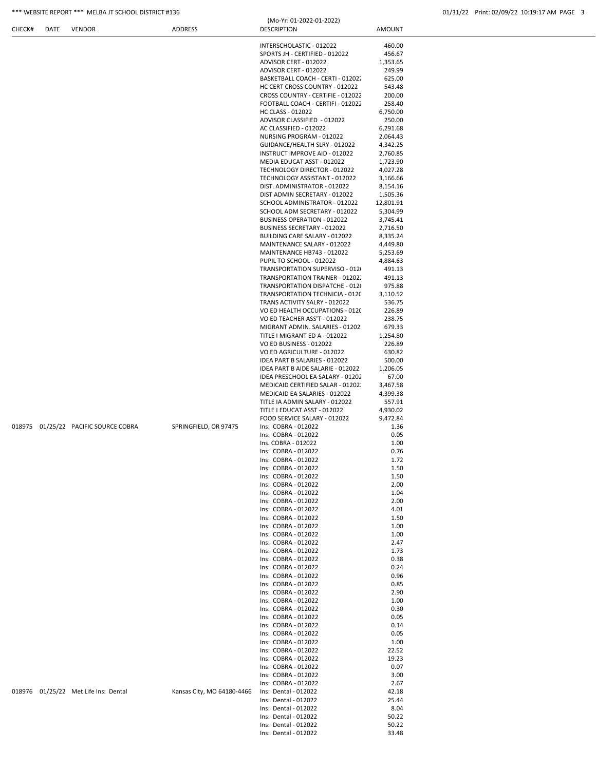## \*\*\* WEBSITE REPORT \*\*\* MELBA JT SCHOOL DISTRICT #136 01/31/22 Print: 02/09/22 10:19:17 AM PAGE 3

|  |                                      |                            | INTERSCHOLASTIC - 012022                               | 460.00             |  |
|--|--------------------------------------|----------------------------|--------------------------------------------------------|--------------------|--|
|  |                                      |                            | SPORTS JH - CERTIFIED - 012022                         | 456.67             |  |
|  |                                      |                            | ADVISOR CERT - 012022                                  | 1,353.65           |  |
|  |                                      |                            | ADVISOR CERT - 012022                                  | 249.99             |  |
|  |                                      |                            | BASKETBALL COACH - CERTI - 012022                      | 625.00             |  |
|  |                                      |                            | HC CERT CROSS COUNTRY - 012022                         | 543.48             |  |
|  |                                      |                            | CROSS COUNTRY - CERTIFIE - 012022                      | 200.00             |  |
|  |                                      |                            | FOOTBALL COACH - CERTIFI - 012022<br>HC CLASS - 012022 | 258.40<br>6,750.00 |  |
|  |                                      |                            |                                                        |                    |  |
|  |                                      |                            | ADVISOR CLASSIFIED - 012022                            | 250.00             |  |
|  |                                      |                            | AC CLASSIFIED - 012022                                 | 6,291.68           |  |
|  |                                      |                            | NURSING PROGRAM - 012022                               | 2,064.43           |  |
|  |                                      |                            | GUIDANCE/HEALTH SLRY - 012022                          | 4,342.25           |  |
|  |                                      |                            | INSTRUCT IMPROVE AID - 012022                          | 2,760.85           |  |
|  |                                      |                            | MEDIA EDUCAT ASST - 012022                             | 1,723.90           |  |
|  |                                      |                            | TECHNOLOGY DIRECTOR - 012022                           | 4,027.28           |  |
|  |                                      |                            | TECHNOLOGY ASSISTANT - 012022                          | 3,166.66           |  |
|  |                                      |                            | DIST. ADMINISTRATOR - 012022                           | 8,154.16           |  |
|  |                                      |                            | DIST ADMIN SECRETARY - 012022                          | 1,505.36           |  |
|  |                                      |                            | SCHOOL ADMINISTRATOR - 012022                          | 12,801.91          |  |
|  |                                      |                            | SCHOOL ADM SECRETARY - 012022                          | 5,304.99           |  |
|  |                                      |                            | <b>BUSINESS OPERATION - 012022</b>                     | 3,745.41           |  |
|  |                                      |                            | BUSINESS SECRETARY - 012022                            | 2,716.50           |  |
|  |                                      |                            | BUILDING CARE SALARY - 012022                          | 8,335.24           |  |
|  |                                      |                            | MAINTENANCE SALARY - 012022                            | 4,449.80           |  |
|  |                                      |                            | <b>MAINTENANCE HB743 - 012022</b>                      | 5,253.69           |  |
|  |                                      |                            | PUPIL TO SCHOOL - 012022                               | 4,884.63           |  |
|  |                                      |                            | TRANSPORTATION SUPERVISO - 012                         | 491.13             |  |
|  |                                      |                            | TRANSPORTATION TRAINER - 01202.                        | 491.13             |  |
|  |                                      |                            | TRANSPORTATION DISPATCHE - 012(                        | 975.88             |  |
|  |                                      |                            | TRANSPORTATION TECHNICIA - 0120                        | 3,110.52           |  |
|  |                                      |                            | TRANS ACTIVITY SALRY - 012022                          | 536.75             |  |
|  |                                      |                            | VO ED HEALTH OCCUPATIONS - 0120                        | 226.89             |  |
|  |                                      |                            | VO ED TEACHER ASS'T - 012022                           | 238.75             |  |
|  |                                      |                            | MIGRANT ADMIN. SALARIES - 01202                        | 679.33             |  |
|  |                                      |                            | TITLE I MIGRANT ED A - 012022                          | 1,254.80           |  |
|  |                                      |                            | VO ED BUSINESS - 012022                                | 226.89             |  |
|  |                                      |                            | VO ED AGRICULTURE - 012022                             | 630.82             |  |
|  |                                      |                            | IDEA PART B SALARIES - 012022                          | 500.00             |  |
|  |                                      |                            | IDEA PART B AIDE SALARIE - 012022                      | 1,206.05           |  |
|  |                                      |                            | IDEA PRESCHOOL EA SALARY - 01202                       | 67.00              |  |
|  |                                      |                            | MEDICAID CERTIFIED SALAR - 01202.                      | 3,467.58           |  |
|  |                                      |                            | MEDICAID EA SALARIES - 012022                          | 4,399.38           |  |
|  |                                      |                            | TITLE IA ADMIN SALARY - 012022                         | 557.91             |  |
|  |                                      |                            | TITLE I EDUCAT ASST - 012022                           | 4,930.02           |  |
|  |                                      |                            | FOOD SERVICE SALARY - 012022                           | 9,472.84           |  |
|  | 018975 01/25/22 PACIFIC SOURCE COBRA | SPRINGFIELD, OR 97475      | Ins: COBRA - 012022                                    | 1.36               |  |
|  |                                      |                            | Ins: COBRA - 012022                                    | 0.05               |  |
|  |                                      |                            | Ins. COBRA - 012022                                    | 1.00               |  |
|  |                                      |                            | Ins: COBRA - 012022                                    | 0.76               |  |
|  |                                      |                            | Ins: COBRA - 012022                                    | 1.72               |  |
|  |                                      |                            | Ins: COBRA - 012022                                    | 1.50               |  |
|  |                                      |                            | Ins: COBRA - 012022                                    | 1.50               |  |
|  |                                      |                            | Ins: COBRA - 012022                                    | 2.00               |  |
|  |                                      |                            | Ins: COBRA - 012022                                    | 1.04               |  |
|  |                                      |                            | Ins: COBRA - 012022                                    | 2.00               |  |
|  |                                      |                            | Ins: COBRA - 012022                                    | 4.01               |  |
|  |                                      |                            | Ins: COBRA - 012022                                    | 1.50               |  |
|  |                                      |                            | Ins: COBRA - 012022                                    | 1.00               |  |
|  |                                      |                            | Ins: COBRA - 012022                                    | 1.00               |  |
|  |                                      |                            | Ins: COBRA - 012022                                    | 2.47               |  |
|  |                                      |                            | Ins: COBRA - 012022                                    | 1.73               |  |
|  |                                      |                            | Ins: COBRA - 012022                                    | 0.38               |  |
|  |                                      |                            |                                                        |                    |  |
|  |                                      |                            | Ins: COBRA - 012022                                    | 0.24               |  |
|  |                                      |                            | Ins: COBRA - 012022                                    | 0.96               |  |
|  |                                      |                            | Ins: COBRA - 012022                                    | 0.85               |  |
|  |                                      |                            | Ins: COBRA - 012022                                    | 2.90               |  |
|  |                                      |                            | Ins: COBRA - 012022                                    | 1.00               |  |
|  |                                      |                            | Ins: COBRA - 012022                                    | 0.30               |  |
|  |                                      |                            | Ins: COBRA - 012022                                    | 0.05               |  |
|  |                                      |                            | Ins: COBRA - 012022                                    | 0.14               |  |
|  |                                      |                            | Ins: COBRA - 012022                                    | 0.05               |  |
|  |                                      |                            | Ins: COBRA - 012022                                    | 1.00               |  |
|  |                                      |                            | Ins: COBRA - 012022                                    | 22.52              |  |
|  |                                      |                            | Ins: COBRA - 012022                                    | 19.23              |  |
|  |                                      |                            | Ins: COBRA - 012022                                    | 0.07               |  |
|  |                                      |                            | Ins: COBRA - 012022                                    | 3.00               |  |
|  |                                      |                            | Ins: COBRA - 012022                                    | 2.67               |  |
|  | 018976 01/25/22 Met Life Ins: Dental | Kansas City, MO 64180-4466 | Ins: Dental - 012022                                   | 42.18              |  |
|  |                                      |                            | Ins: Dental - 012022                                   | 25.44              |  |
|  |                                      |                            | Ins: Dental - 012022                                   | 8.04               |  |
|  |                                      |                            |                                                        |                    |  |
|  |                                      |                            | Ins: Dental - 012022<br>Ins: Dental - 012022           | 50.22<br>50.22     |  |
|  |                                      |                            | Ins: Dental - 012022                                   | 33.48              |  |

(Mo-Yr: 01-2022-01-2022)

CHECK# DATE VENDOR ADDRESS DESCRIPTION AMOUNT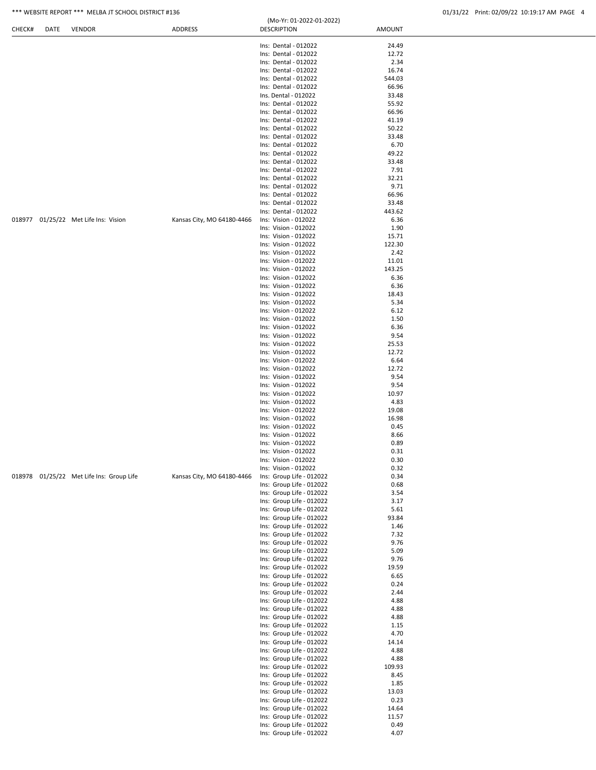# \*\*\* WEBSITE REPORT \*\*\* MELBA JT SCHOOL DISTRICT #136 (Mo. Yr: 01-2022-01-2022) 01/31/22 Print: 02/09/22 10:19:17 AM PAGE 4

|  |  | 01/31/22 Print: 02/09/22 10:19:17 AM PAGE 4 |  |  |
|--|--|---------------------------------------------|--|--|
|  |  |                                             |  |  |

|  |                                          |                            | Ins: Dental - 012022<br>Ins: Dental - 012022         | 24.49<br>12.72  |  |
|--|------------------------------------------|----------------------------|------------------------------------------------------|-----------------|--|
|  |                                          |                            |                                                      |                 |  |
|  |                                          |                            |                                                      |                 |  |
|  |                                          |                            | Ins: Dental - 012022                                 | 2.34            |  |
|  |                                          |                            | Ins: Dental - 012022                                 | 16.74           |  |
|  |                                          |                            | Ins: Dental - 012022<br>Ins: Dental - 012022         | 544.03<br>66.96 |  |
|  |                                          |                            | Ins. Dental - 012022                                 | 33.48           |  |
|  |                                          |                            | Ins: Dental - 012022                                 | 55.92           |  |
|  |                                          |                            | Ins: Dental - 012022                                 | 66.96           |  |
|  |                                          |                            | Ins: Dental - 012022                                 | 41.19           |  |
|  |                                          |                            | Ins: Dental - 012022<br>Ins: Dental - 012022         | 50.22<br>33.48  |  |
|  |                                          |                            | Ins: Dental - 012022                                 | 6.70            |  |
|  |                                          |                            | Ins: Dental - 012022                                 | 49.22           |  |
|  |                                          |                            | Ins: Dental - 012022                                 | 33.48           |  |
|  |                                          |                            | Ins: Dental - 012022<br>Ins: Dental - 012022         | 7.91            |  |
|  |                                          |                            | Ins: Dental - 012022                                 | 32.21<br>9.71   |  |
|  |                                          |                            | Ins: Dental - 012022                                 | 66.96           |  |
|  |                                          |                            | Ins: Dental - 012022                                 | 33.48           |  |
|  |                                          |                            | Ins: Dental - 012022                                 | 443.62          |  |
|  | 018977 01/25/22 Met Life Ins: Vision     | Kansas City, MO 64180-4466 | Ins: Vision - 012022                                 | 6.36            |  |
|  |                                          |                            | Ins: Vision - 012022<br>Ins: Vision - 012022         | 1.90<br>15.71   |  |
|  |                                          |                            | Ins: Vision - 012022                                 | 122.30          |  |
|  |                                          |                            | Ins: Vision - 012022                                 | 2.42            |  |
|  |                                          |                            | Ins: Vision - 012022                                 | 11.01           |  |
|  |                                          |                            | Ins: Vision - 012022<br>Ins: Vision - 012022         | 143.25          |  |
|  |                                          |                            | Ins: Vision - 012022                                 | 6.36<br>6.36    |  |
|  |                                          |                            | Ins: Vision - 012022                                 | 18.43           |  |
|  |                                          |                            | Ins: Vision - 012022                                 | 5.34            |  |
|  |                                          |                            | Ins: Vision - 012022                                 | 6.12            |  |
|  |                                          |                            | Ins: Vision - 012022<br>Ins: Vision - 012022         | 1.50<br>6.36    |  |
|  |                                          |                            | Ins: Vision - 012022                                 | 9.54            |  |
|  |                                          |                            | Ins: Vision - 012022                                 | 25.53           |  |
|  |                                          |                            | Ins: Vision - 012022                                 | 12.72           |  |
|  |                                          |                            | Ins: Vision - 012022                                 | 6.64            |  |
|  |                                          |                            | Ins: Vision - 012022<br>Ins: Vision - 012022         | 12.72<br>9.54   |  |
|  |                                          |                            | Ins: Vision - 012022                                 | 9.54            |  |
|  |                                          |                            | Ins: Vision - 012022                                 | 10.97           |  |
|  |                                          |                            | Ins: Vision - 012022                                 | 4.83            |  |
|  |                                          |                            | Ins: Vision - 012022<br>Ins: Vision - 012022         | 19.08<br>16.98  |  |
|  |                                          |                            | Ins: Vision - 012022                                 | 0.45            |  |
|  |                                          |                            | Ins: Vision - 012022                                 | 8.66            |  |
|  |                                          |                            | Ins: Vision - 012022                                 | 0.89            |  |
|  |                                          |                            | Ins: Vision - 012022                                 | 0.31            |  |
|  |                                          |                            | Ins: Vision - 012022<br>Ins: Vision - 012022         | 0.30<br>0.32    |  |
|  | 018978 01/25/22 Met Life Ins: Group Life | Kansas City, MO 64180-4466 | Ins: Group Life - 012022                             | 0.34            |  |
|  |                                          |                            | Ins: Group Life - 012022                             | 0.68            |  |
|  |                                          |                            | Ins: Group Life - 012022                             | 3.54            |  |
|  |                                          |                            | Ins: Group Life - 012022                             | 3.17            |  |
|  |                                          |                            | Ins: Group Life - 012022<br>Ins: Group Life - 012022 | 5.61<br>93.84   |  |
|  |                                          |                            | Ins: Group Life - 012022                             | 1.46            |  |
|  |                                          |                            | Ins: Group Life - 012022                             | 7.32            |  |
|  |                                          |                            | Ins: Group Life - 012022                             | 9.76            |  |
|  |                                          |                            | Ins: Group Life - 012022                             | 5.09            |  |
|  |                                          |                            | Ins: Group Life - 012022<br>Ins: Group Life - 012022 | 9.76<br>19.59   |  |
|  |                                          |                            | Ins: Group Life - 012022                             | 6.65            |  |
|  |                                          |                            | Ins: Group Life - 012022                             | 0.24            |  |
|  |                                          |                            | Ins: Group Life - 012022                             | 2.44            |  |
|  |                                          |                            | Ins: Group Life - 012022                             | 4.88            |  |
|  |                                          |                            | Ins: Group Life - 012022<br>Ins: Group Life - 012022 | 4.88<br>4.88    |  |
|  |                                          |                            | Ins: Group Life - 012022                             | 1.15            |  |
|  |                                          |                            | Ins: Group Life - 012022                             | 4.70            |  |
|  |                                          |                            | Ins: Group Life - 012022                             | 14.14           |  |
|  |                                          |                            | Ins: Group Life - 012022                             | 4.88            |  |
|  |                                          |                            | Ins: Group Life - 012022<br>Ins: Group Life - 012022 | 4.88<br>109.93  |  |
|  |                                          |                            | Ins: Group Life - 012022                             | 8.45            |  |
|  |                                          |                            | Ins: Group Life - 012022                             | 1.85            |  |
|  |                                          |                            | Ins: Group Life - 012022                             | 13.03           |  |
|  |                                          |                            | Ins: Group Life - 012022                             | 0.23            |  |
|  |                                          |                            | Ins: Group Life - 012022<br>Ins: Group Life - 012022 | 14.64<br>11.57  |  |
|  |                                          |                            | Ins: Group Life - 012022                             | 0.49            |  |
|  |                                          |                            | Ins: Group Life - 012022                             | 4.07            |  |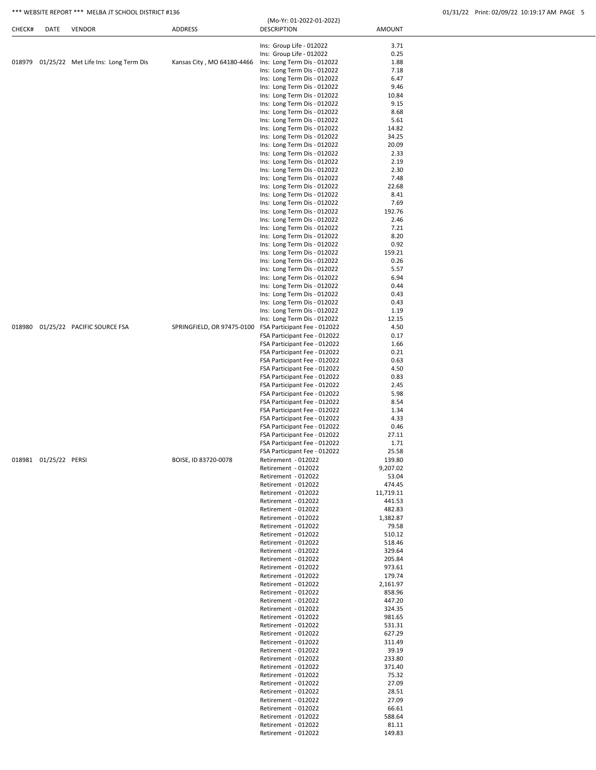|        |      | *** WEBSITE REPORT *** MELBA JT SCHOOL DISTRICT #136 |                            |                                                |               | 01/31/22 Print: 02/09/22 10:19:17 AM PAGE 5 |
|--------|------|------------------------------------------------------|----------------------------|------------------------------------------------|---------------|---------------------------------------------|
| CHECK# | DATE | <b>VENDOR</b>                                        | <b>ADDRESS</b>             | (Mo-Yr: 01-2022-01-2022)<br><b>DESCRIPTION</b> | <b>AMOUNT</b> |                                             |
|        |      |                                                      |                            | Ins: Group Life - 012022                       | 3.71          |                                             |
|        |      |                                                      |                            | Ins: Group Life - 012022                       | 0.25          |                                             |
|        |      | 018979 01/25/22 Met Life Ins: Long Term Dis          | Kansas City, MO 64180-4466 | Ins: Long Term Dis - 012022                    | 1.88          |                                             |
|        |      |                                                      |                            | Ins: Long Term Dis - 012022                    | 7.18          |                                             |
|        |      |                                                      |                            | Ins: Long Term Dis - 012022                    | 6.47          |                                             |
|        |      |                                                      |                            | Ins: Long Term Dis - 012022                    | 9.46          |                                             |
|        |      |                                                      |                            | Ins: Long Term Dis - 012022                    | 10.84         |                                             |
|        |      |                                                      |                            | Ins: Long Term Dis - 012022                    | 9.15          |                                             |
|        |      |                                                      |                            | Ins: Long Term Dis - 012022                    | 8.68          |                                             |
|        |      |                                                      |                            | Ins: Long Term Dis - 012022                    | 5.61          |                                             |
|        |      |                                                      |                            | Ins: Long Term Dis - 012022                    | 14.82         |                                             |
|        |      |                                                      |                            | Ins: Long Term Dis - 012022                    | 34.25         |                                             |
|        |      |                                                      |                            | Ins: Long Term Dis - 012022                    | 20.09         |                                             |
|        |      |                                                      |                            | Ins: Long Term Dis - 012022                    | 2.33          |                                             |
|        |      |                                                      |                            | Ins: Long Term Dis - 012022                    | 2.19          |                                             |
|        |      |                                                      |                            | Ins: Long Term Dis - 012022                    | 2.30          |                                             |
|        |      |                                                      |                            | Ins: Long Term Dis - 012022                    | 7.48          |                                             |
|        |      |                                                      |                            | Ins: Long Term Dis - 012022                    | 22.68         |                                             |
|        |      |                                                      |                            | Ins: Long Term Dis - 012022                    | 8.41          |                                             |
|        |      |                                                      |                            | Ins: Long Term Dis - 012022                    | 7.69          |                                             |
|        |      |                                                      |                            | Ins: Long Term Dis - 012022                    | 192.76        |                                             |
|        |      |                                                      |                            | Ins: Long Term Dis - 012022                    | 2.46          |                                             |
|        |      |                                                      |                            | Ins: Long Term Dis - 012022                    | 7.21          |                                             |
|        |      |                                                      |                            | Ins: Long Term Dis - 012022                    | 8.20          |                                             |
|        |      |                                                      |                            | Ins: Long Term Dis - 012022                    | 0.92          |                                             |
|        |      |                                                      |                            | Ins: Long Term Dis - 012022                    | 159.21        |                                             |
|        |      |                                                      |                            | Ins: Long Term Dis - 012022                    | 0.26          |                                             |
|        |      |                                                      |                            |                                                |               |                                             |

|                       |                                    |                                                         | Ins: Long Term Dis - 012022  | 5.57      |
|-----------------------|------------------------------------|---------------------------------------------------------|------------------------------|-----------|
|                       |                                    |                                                         | Ins: Long Term Dis - 012022  | 6.94      |
|                       |                                    |                                                         | Ins: Long Term Dis - 012022  | 0.44      |
|                       |                                    |                                                         | Ins: Long Term Dis - 012022  | 0.43      |
|                       |                                    |                                                         | Ins: Long Term Dis - 012022  | 0.43      |
|                       |                                    |                                                         | Ins: Long Term Dis - 012022  | 1.19      |
|                       |                                    |                                                         | Ins: Long Term Dis - 012022  | 12.15     |
|                       | 018980 01/25/22 PACIFIC SOURCE FSA | SPRINGFIELD, OR 97475-0100 FSA Participant Fee - 012022 |                              | 4.50      |
|                       |                                    |                                                         | FSA Participant Fee - 012022 | 0.17      |
|                       |                                    |                                                         | FSA Participant Fee - 012022 | 1.66      |
|                       |                                    |                                                         | FSA Participant Fee - 012022 | 0.21      |
|                       |                                    |                                                         | FSA Participant Fee - 012022 | 0.63      |
|                       |                                    |                                                         | FSA Participant Fee - 012022 | 4.50      |
|                       |                                    |                                                         | FSA Participant Fee - 012022 | 0.83      |
|                       |                                    |                                                         | FSA Participant Fee - 012022 | 2.45      |
|                       |                                    |                                                         | FSA Participant Fee - 012022 | 5.98      |
|                       |                                    |                                                         | FSA Participant Fee - 012022 | 8.54      |
|                       |                                    |                                                         | FSA Participant Fee - 012022 | 1.34      |
|                       |                                    |                                                         | FSA Participant Fee - 012022 | 4.33      |
|                       |                                    |                                                         | FSA Participant Fee - 012022 | 0.46      |
|                       |                                    |                                                         | FSA Participant Fee - 012022 | 27.11     |
|                       |                                    |                                                         | FSA Participant Fee - 012022 | 1.71      |
|                       |                                    |                                                         | FSA Participant Fee - 012022 | 25.58     |
| 018981 01/25/22 PERSI |                                    | BOISE, ID 83720-0078                                    | Retirement - 012022          | 139.80    |
|                       |                                    |                                                         |                              |           |
|                       |                                    |                                                         | Retirement - 012022          | 9,207.02  |
|                       |                                    |                                                         | Retirement - 012022          | 53.04     |
|                       |                                    |                                                         | Retirement - 012022          | 474.45    |
|                       |                                    |                                                         | Retirement - 012022          | 11,719.11 |
|                       |                                    |                                                         | Retirement - 012022          | 441.53    |
|                       |                                    |                                                         | Retirement - 012022          | 482.83    |
|                       |                                    |                                                         | Retirement - 012022          | 1,382.87  |
|                       |                                    |                                                         | Retirement - 012022          | 79.58     |
|                       |                                    |                                                         | Retirement - 012022          | 510.12    |
|                       |                                    |                                                         | Retirement - 012022          | 518.46    |
|                       |                                    |                                                         | Retirement - 012022          | 329.64    |
|                       |                                    |                                                         | Retirement - 012022          | 205.84    |
|                       |                                    |                                                         | Retirement - 012022          | 973.61    |
|                       |                                    |                                                         | Retirement - 012022          | 179.74    |
|                       |                                    |                                                         | Retirement - 012022          | 2,161.97  |
|                       |                                    |                                                         | Retirement - 012022          | 858.96    |
|                       |                                    |                                                         | Retirement - 012022          | 447.20    |
|                       |                                    |                                                         | Retirement - 012022          | 324.35    |
|                       |                                    |                                                         | Retirement - 012022          | 981.65    |
|                       |                                    |                                                         | Retirement - 012022          | 531.31    |
|                       |                                    |                                                         | Retirement - 012022          | 627.29    |
|                       |                                    |                                                         | Retirement - 012022          | 311.49    |
|                       |                                    |                                                         | Retirement - 012022          | 39.19     |
|                       |                                    |                                                         | Retirement - 012022          | 233.80    |
|                       |                                    |                                                         | Retirement - 012022          | 371.40    |
|                       |                                    |                                                         | Retirement - 012022          | 75.32     |
|                       |                                    |                                                         | Retirement - 012022          | 27.09     |
|                       |                                    |                                                         | Retirement - 012022          | 28.51     |
|                       |                                    |                                                         | Retirement - 012022          | 27.09     |
|                       |                                    |                                                         | Retirement - 012022          | 66.61     |
|                       |                                    |                                                         | Retirement - 012022          | 588.64    |
|                       |                                    |                                                         | Retirement - 012022          | 81.11     |
|                       |                                    |                                                         | Retirement - 012022          | 149.83    |
|                       |                                    |                                                         |                              |           |
|                       |                                    |                                                         |                              |           |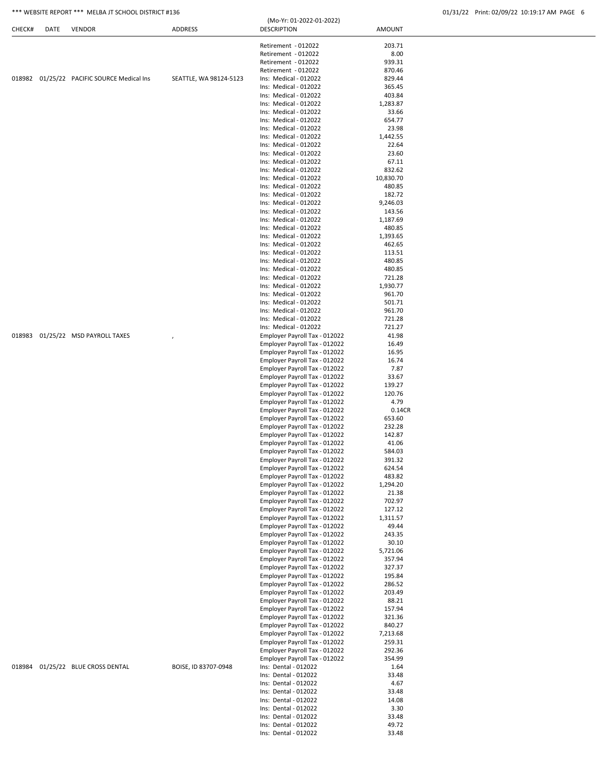## \*\*\* WEBSITE REPORT \*\*\* MELBA JT SCHOOL DISTRICT #136 01/31/22 Print: 02/09/22 10:19:17 AM PAGE 6

| CHECK# | DATE | <b>VENDOR</b>                       | ADDRESS                | <b>DESCRIPTION</b>            | <b>AMOUNT</b>    |
|--------|------|-------------------------------------|------------------------|-------------------------------|------------------|
|        |      |                                     |                        |                               |                  |
|        |      |                                     |                        | Retirement - 012022           | 203.71           |
|        |      |                                     |                        | Retirement - 012022           | 8.00             |
|        |      |                                     |                        | Retirement - 012022           | 939.31           |
|        |      |                                     |                        | Retirement - 012022           | 870.46           |
| 018982 |      | 01/25/22 PACIFIC SOURCE Medical Ins | SEATTLE, WA 98124-5123 | Ins: Medical - 012022         | 829.44           |
|        |      |                                     |                        | Ins: Medical - 012022         | 365.45           |
|        |      |                                     |                        | Ins: Medical - 012022         | 403.84           |
|        |      |                                     |                        | Ins: Medical - 012022         | 1,283.87         |
|        |      |                                     |                        | Ins: Medical - 012022         | 33.66            |
|        |      |                                     |                        | Ins: Medical - 012022         | 654.77           |
|        |      |                                     |                        | Ins: Medical - 012022         | 23.98            |
|        |      |                                     |                        | Ins: Medical - 012022         | 1,442.55         |
|        |      |                                     |                        | Ins: Medical - 012022         | 22.64            |
|        |      |                                     |                        | Ins: Medical - 012022         | 23.60            |
|        |      |                                     |                        | Ins: Medical - 012022         | 67.11            |
|        |      |                                     |                        | Ins: Medical - 012022         | 832.62           |
|        |      |                                     |                        | Ins: Medical - 012022         | 10,830.70        |
|        |      |                                     |                        | Ins: Medical - 012022         | 480.85           |
|        |      |                                     |                        | Ins: Medical - 012022         | 182.72           |
|        |      |                                     |                        | Ins: Medical - 012022         | 9,246.03         |
|        |      |                                     |                        | Ins: Medical - 012022         | 143.56           |
|        |      |                                     |                        | Ins: Medical - 012022         | 1,187.69         |
|        |      |                                     |                        | Ins: Medical - 012022         | 480.85           |
|        |      |                                     |                        |                               |                  |
|        |      |                                     |                        | Ins: Medical - 012022         | 1,393.65         |
|        |      |                                     |                        | Ins: Medical - 012022         | 462.65           |
|        |      |                                     |                        | Ins: Medical - 012022         | 113.51           |
|        |      |                                     |                        | Ins: Medical - 012022         | 480.85           |
|        |      |                                     |                        | Ins: Medical - 012022         | 480.85           |
|        |      |                                     |                        | Ins: Medical - 012022         | 721.28           |
|        |      |                                     |                        | Ins: Medical - 012022         | 1,930.77         |
|        |      |                                     |                        | Ins: Medical - 012022         | 961.70           |
|        |      |                                     |                        | Ins: Medical - 012022         | 501.71           |
|        |      |                                     |                        | Ins: Medical - 012022         | 961.70           |
|        |      |                                     |                        | Ins: Medical - 012022         | 721.28           |
|        |      |                                     |                        | Ins: Medical - 012022         | 721.27           |
| 018983 |      | 01/25/22 MSD PAYROLL TAXES          |                        | Employer Payroll Tax - 012022 | 41.98            |
|        |      |                                     |                        | Employer Payroll Tax - 012022 | 16.49            |
|        |      |                                     |                        | Employer Payroll Tax - 012022 | 16.95            |
|        |      |                                     |                        | Employer Payroll Tax - 012022 | 16.74            |
|        |      |                                     |                        | Employer Payroll Tax - 012022 | 7.87             |
|        |      |                                     |                        | Employer Payroll Tax - 012022 | 33.67            |
|        |      |                                     |                        | Employer Payroll Tax - 012022 | 139.27           |
|        |      |                                     |                        | Employer Payroll Tax - 012022 | 120.76           |
|        |      |                                     |                        | Employer Payroll Tax - 012022 | 4.79             |
|        |      |                                     |                        | Employer Payroll Tax - 012022 | 0.14CR           |
|        |      |                                     |                        | Employer Payroll Tax - 012022 | 653.60           |
|        |      |                                     |                        | Employer Payroll Tax - 012022 | 232.28           |
|        |      |                                     |                        | Employer Payroll Tax - 012022 | 142.87           |
|        |      |                                     |                        | Employer Payroll Tax - 012022 | 41.06            |
|        |      |                                     |                        | Employer Payroll Tax - 012022 | 584.03           |
|        |      |                                     |                        | Employer Payroll Tax - 012022 | 391.32           |
|        |      |                                     |                        | Employer Payroll Tax - 012022 | 624.54           |
|        |      |                                     |                        | Employer Payroll Tax - 012022 | 483.82           |
|        |      |                                     |                        | Employer Payroll Tax - 012022 | 1,294.20         |
|        |      |                                     |                        | Employer Payroll Tax - 012022 | 21.38            |
|        |      |                                     |                        | Employer Payroll Tax - 012022 | 702.97           |
|        |      |                                     |                        | Employer Payroll Tax - 012022 | 127.12           |
|        |      |                                     |                        | Employer Payroll Tax - 012022 | 1,311.57         |
|        |      |                                     |                        | Employer Payroll Tax - 012022 | 49.44            |
|        |      |                                     |                        | Employer Payroll Tax - 012022 | 243.35           |
|        |      |                                     |                        | Employer Payroll Tax - 012022 | 30.10            |
|        |      |                                     |                        | Employer Payroll Tax - 012022 | 5,721.06         |
|        |      |                                     |                        | Employer Payroll Tax - 012022 | 357.94           |
|        |      |                                     |                        | Employer Payroll Tax - 012022 | 327.37           |
|        |      |                                     |                        | Employer Payroll Tax - 012022 | 195.84           |
|        |      |                                     |                        | Employer Payroll Tax - 012022 | 286.52           |
|        |      |                                     |                        | Employer Payroll Tax - 012022 | 203.49           |
|        |      |                                     |                        | Employer Payroll Tax - 012022 | 88.21            |
|        |      |                                     |                        | Employer Payroll Tax - 012022 |                  |
|        |      |                                     |                        | Employer Payroll Tax - 012022 | 157.94<br>321.36 |
|        |      |                                     |                        | Employer Payroll Tax - 012022 |                  |
|        |      |                                     |                        |                               | 840.27           |
|        |      |                                     |                        | Employer Payroll Tax - 012022 | 7,213.68         |
|        |      |                                     |                        | Employer Payroll Tax - 012022 | 259.31           |
|        |      |                                     |                        | Employer Payroll Tax - 012022 | 292.36           |
|        |      |                                     |                        | Employer Payroll Tax - 012022 | 354.99           |
| 018984 |      | 01/25/22 BLUE CROSS DENTAL          | BOISE, ID 83707-0948   | Ins: Dental - 012022          | 1.64             |
|        |      |                                     |                        | Ins: Dental - 012022          | 33.48            |
|        |      |                                     |                        | Ins: Dental - 012022          | 4.67             |
|        |      |                                     |                        | Ins: Dental - 012022          | 33.48            |
|        |      |                                     |                        | Ins: Dental - 012022          | 14.08            |
|        |      |                                     |                        | Ins: Dental - 012022          | 3.30             |
|        |      |                                     |                        | Ins: Dental - 012022          | 33.48            |
|        |      |                                     |                        | Ins: Dental - 012022          | 49.72            |
|        |      |                                     |                        | Ins: Dental - 012022          | 33.48            |

(Mo-Yr: 01-2022-01-2022)